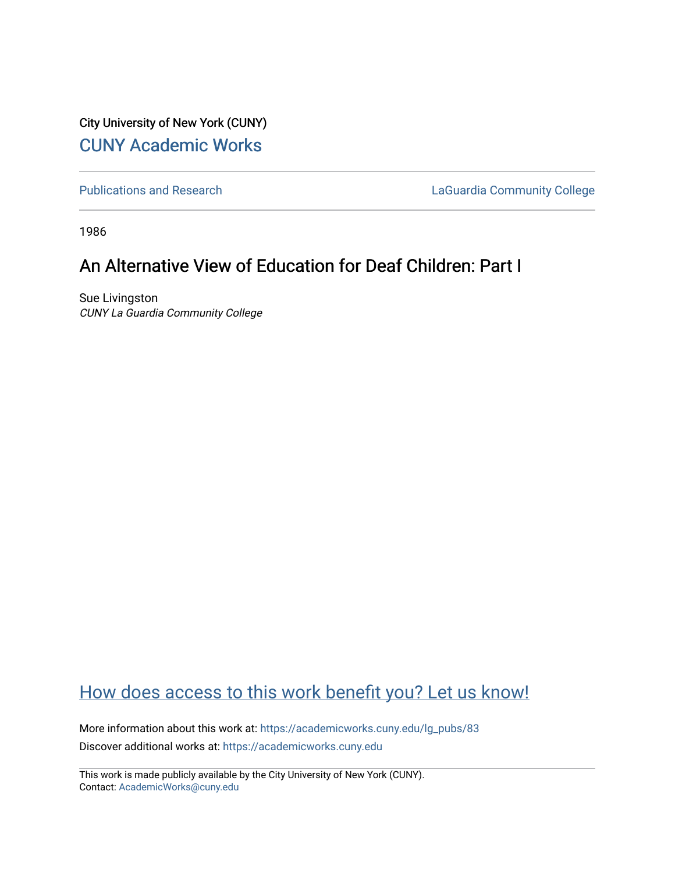City University of New York (CUNY) [CUNY Academic Works](https://academicworks.cuny.edu/) 

[Publications and Research](https://academicworks.cuny.edu/lg_pubs) **LaGuardia Community College** 

1986

# An Alternative View of Education for Deaf Children: Part I

Sue Livingston CUNY La Guardia Community College

# [How does access to this work benefit you? Let us know!](http://ols.cuny.edu/academicworks/?ref=https://academicworks.cuny.edu/lg_pubs/83)

More information about this work at: [https://academicworks.cuny.edu/lg\\_pubs/83](https://academicworks.cuny.edu/lg_pubs/83)  Discover additional works at: [https://academicworks.cuny.edu](https://academicworks.cuny.edu/?)

This work is made publicly available by the City University of New York (CUNY). Contact: [AcademicWorks@cuny.edu](mailto:AcademicWorks@cuny.edu)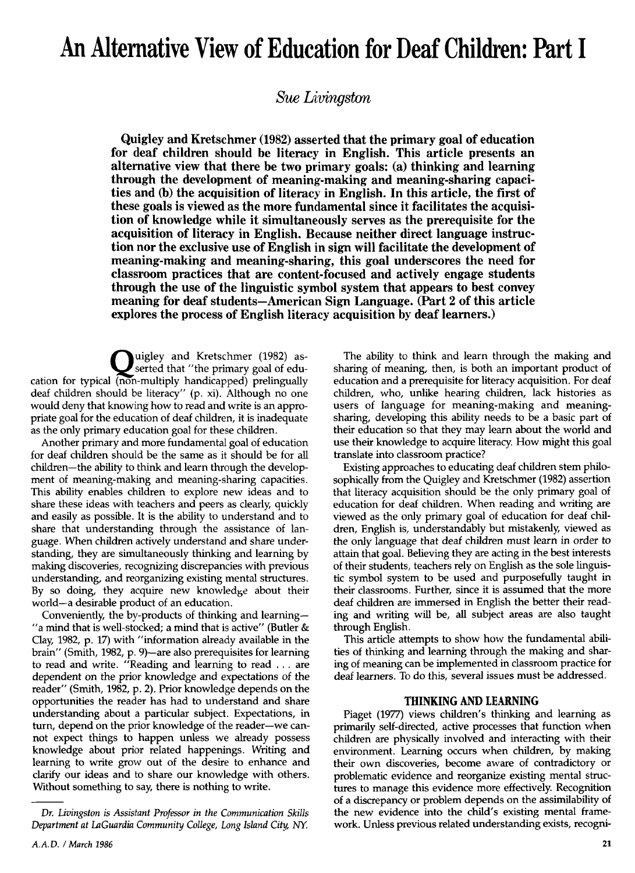# An Alternative View of Education for Deaf Children: Part I

Sue Livingston

Quigley and Kretschmer (1982) asserted that the primary goal of education for deaf children should be literacy in English. This article presents an alternative view that there be two primary goals: (a) thinking and learning through the development of meaning-making and meaning-sharing capacities and (b) the acquisition of literacy in English. In this article, the first of these goals is viewed as the more fundamental since it facilitates the acquisition of knowledge while it simultaneously serves as the prerequisite for the acquisition of literacy in English. Because neither direct language instruction nor the exclusive use of English in sign will facilitate the development of meaning-making and meaning-sharing, this goal underscores the need for classroom practices that are content-focused and actively engage students through the use of the linguistic symbol system that appears to best convey meaning for deaf students—American Sign Language. (Part 2 of this article explores the process of English literacy acquisition by deaf learners.)

uigley and Kretschmer (1982) asserted that "the primary goal of education tor typical (non-multiply handicapped) prelingually deaf children should be literacy" (p. xi). Although no one would deny that knowing how to read and write is an appropriate goal for the education of deaf children, it is inadequate as the only primary education goal for these children.

Another primary and more fundamental goal of education for deaf children should be the same as it should be for all children—the ability to think and learn through the development of meaning-making and meaning-sharing capacities. This ability enables children to explore new ideas and to share these ideas with teachers and peers as clearly, quickly and easily as possible. It is the ability to understand and to share that understanding through the assistance of language. When children actively understand and share understanding, they are simultaneously thinking and learning by making discoveries, recognizing discrepancies with previous understanding, and reorganizing existing mental structures. By so doing, they acquire new knowledge about their world—a desirable product of an education.

Conveniently, the by-products of thinking and learning— "a mind that is well-stocked; a mind that is active" (Butler  $\&$ Clay, 1982, p. 17) with "information already available in the brain" (Smith, 1982, p. 9)—are also prerequisites for learning to read and write. "Reading and learning to read . . . are dependent on the prior knowledge and expectations of the reader" (Smith, 1982, p. 2). Prior knowledge depends on the opportunities the reader has had to understand and share understanding about a particular subject. Expectations, in turn, depend on the prior knowledge of the reader—we cannot expect things to happen unless we already possess knowledge about prior related happenings. Writing and learning to write grow out of the desire to enhance and clarify our ideas and to share our knowledge with others. Without something to say, there is nothing to write.

The ability to think and learn through the making and sharing of meaning, then, is both an important product of education and a prerequisite for literacy acquisition. For deaf children, who, unlike hearing children, lack histories as users of language for meaning-making and meaningsharing, developing this ability needs to be a basic part of their education so that they may learn about the world and use their knowledge to acquire literacy. How might this goal translate into classroom practice?

Existing approaches to educating deaf children stem philosophically from the Quigley and Kretschmer (1982) assertion that literacy acquisition should be the only primary goal of education for deaf children. When reading and writing are viewed as the only primary goal of education for deaf children, English is, understandably but mistakenly, viewed as the only language that deaf children must learn in order to attain that goal. Believing they are acting in the best interests of their students, teachers rely on English as the sole linguistic symbol system to be used and purposefully taught in their classrooms. Further, since it is assumed that the more deaf children are immersed in English the better their reading and writing will be, all subject areas are also taught through English.

This article attempts to show how the fundamental abilities of thinking and learning through the making and sharing of meaning can be implemented in classroom practice for deaf learners. To do this, several issues must be addressed.

### THINKING AND LEARNING

Piaget (1977) views children's thinking and learning as primarily self-directed, active processes that function when children are physically involved and interacting with their environment. Learning occurs when children, by making their own discoveries, become aware of contradictory or problematic evidence and reorganize existing mental structures to manage this evidence more effectively. Recognition of a discrepancy or problem depends on the assimilability of the new evidence into the child's existing mental framework. Unless previous related understanding exists, recogni-

Dr. Livingston is Assistant Professor in the Communication Skills Department at LaGuardia Community College, Long Island City, NY.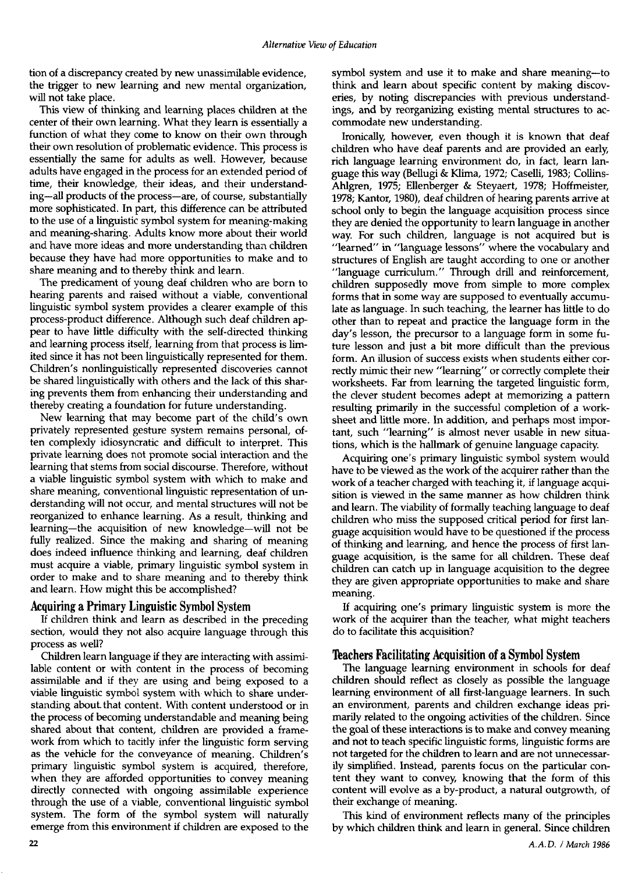tion of a discrepancy created by new unassimilable evidence, the trigger to new learning and new mental organization, will not take place.

This view of thinking and learning places children at the center of their own learning. What they learn is essentially a function of what they come to know on their own through their own resolution of problematic evidence. This process is essentially the same for adults as well. However, because adults have engaged in the process for an extended period of time, their knowledge, their ideas, and their understanding—all products of the process—are, of course, substantially more sophisticated. In part, this difference can be attributed to the use of a linguistic symbol system for meaning-making and meaning-sharing. Adults know more about their world and have more ideas and more understanding than children because they have had more opportunities to make and to share meaning and to thereby think and learn.

The predicament of young deaf children who are born to hearing parents and raised without a viable, conventional linguistic symbol system provides a clearer example of this process-product difference. Although such deaf children appear to have little difficulty with the self-directed thinking and learning process itself, learning from that process is limited since it has not been linguistically represented for them. Children's nonlinguistically represented discoveries cannot be shared linguistically with others and the lack of this sharing prevents them from enhancing their understanding and thereby creating a foundation for future understanding.

New learning that may become part of the child's own privately represented gesture system remains personal, often complexly idiosyncratic and difficult to interpret. This private learning does not promote social interaction and the learning that stems from social discourse. Therefore, without a viable linguistic symbol system with which to make and share meaning, conventional linguistic representation of understanding will not occur, and mental structures will not be reorganized to enhance learning. As a result, thinking and learning—the acquisition of new knowledge—will not be fully realized. Since the making and sharing of meaning does indeed influence thinking and learning, deaf children must acquire a viable, primary linguistic symbol system in order to make and to share meaning and to thereby think and learn. How might this be accomplished?

# Acquiring a Primary Linguistic Symbol System

If children think and learn as described in the preceding section, would they not also acquire language through this process as well?

Children learn language if they are interacting with assimilable content or with content in the process of becoming assimilable and if they are using and being exposed to a viable linguistic symbol system with which to share understanding about that content. With content understood or in the process of becoming understandable and meaning being shared about that content, children are provided a framework from which to tacitly infer the linguistic form serving as the vehicle for the conveyance of meaning. Children's primary linguistic symbol system is acquired, therefore, when they are afforded opportunities to convey meaning directly connected with ongoing assimilable experience through the use of a viable, conventional linguistic symbol system. The form of the symbol system will naturally emerge from this environment if children are exposed to the

symbol system and use it to make and share meaning—to think and learn about specific content by making discoveries, by noting discrepancies with previous understandings, and by reorganizing existing mental structures to accommodate new understanding.

Ironically, however, even though it is known that deaf children who have deaf parents and are provided an early, rich language learning environment do, in fact, learn language this way (Bellugi & Klima, 1972; Caselli, 1983; Collins-Ahlgren, 1975; Ellenberger & Steyaert, 1978; Hoffmeister, 1978; Kantor, 1980), deaf children of hearing parents arrive at school only to begin the language acquisition process since they are denied the opportunity to learn language in another way. For such children, language is not acquired but is "learned" in "language lessons" where the vocabulary and structures of English are taught according to one or another "language curriculum." Through drill and reinforcement, children supposedly move from simple to more complex forms that in some way are supposed to eventually accumulate as language. In such teaching, the learner has little to do other than to repeat and practice the language form in the day's lesson, the precursor to a language form in some future lesson and just a bit more difficult than the previous form. An illusion of success exists when students either correctly mimic their new "learning" or correctly complete their worksheets. Far from learning the targeted linguistic form, the clever student becomes adept at memorizing a pattern resulting primarily in the successful completion of a worksheet and little more. In addition, and perhaps most important, such "learning" is almost never usable in new situations, which is the hallmark of genuine language capacity.

Acquiring one's primary linguistic symbol system would have to be viewed as the work of the acquirer rather than the work of a teacher charged with teaching it, if language acquisition is viewed in the same manner as how children think and learn. The viability of formally teaching language to deaf children who miss the supposed critical period for first language acquisition would have to be questioned if the process of thinking and learning, and hence the process of first language acquisition, is the same for all children. These deaf children can catch up in language acquisition to the degree they are given appropriate opportunities to make and share meaning.

If acquiring one's primary linguistic system is more the work of the acquirer than the teacher, what might teachers do to facilitate this acquisition?

## Teachers Facilitating Acquisition of a Symbol System

The language learning environment in schools for deaf children should reflect as closely as possible the language learning environment of all first-language learners. In such an environment, parents and children exchange ideas primarily related to the ongoing activities of the children. Since the goal of these interactions is to make and convey meaning and not to teach specific linguistic forms, linguistic forms are not targeted for the children to learn and are not unnecessarily simplified. Instead, parents focus on the particular content they want to convey, knowing that the form of this content will evolve as a by-product, a natural outgrowth, of their exchange of meaning.

This kind of environment reflects many of the principles by which children think and learn in general. Since children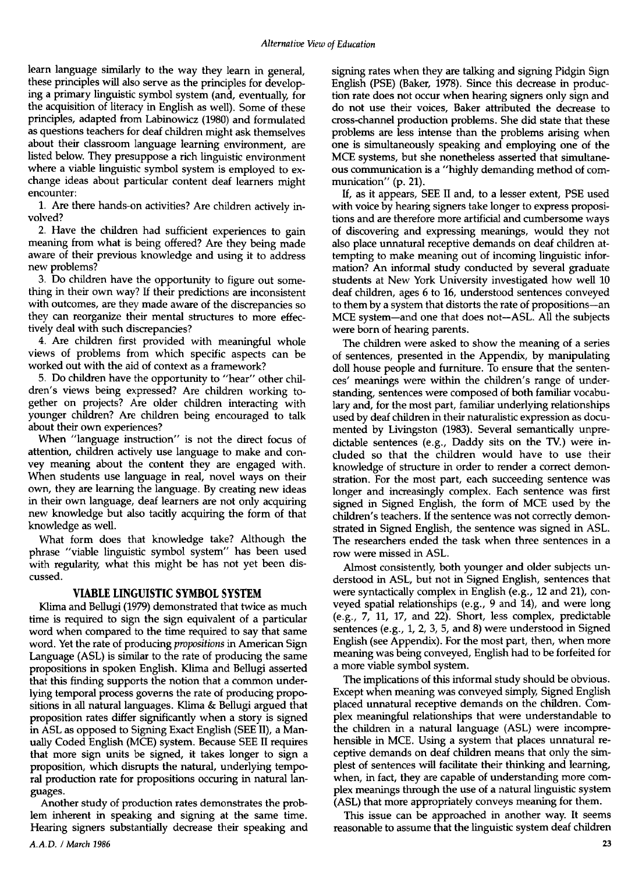learn language similarly to the way they learn in general, these principles will also serve as the principles for developing a primary linguistic symbol system (and, eventually, for the acquisition of literacy in English as well). Some of these principles, adapted from Labinowicz (1980) and formulated as questions teachers for deaf children might ask themselves about their classroom language learning environment, are listed below. They presuppose a rich linguistic environment where a viable linguistic symbol system is employed to exchange ideas about particular content deaf learners might encounter:

1. Are there hands-on activities? Are children actively in- volved?

2. Have the children had sufficient experiences to gain meaning from what is being offered? Are they being made aware of their previous knowledge and using it to address new problems?

3. Do children have the opportunity to figure out something in their own way? If their predictions are inconsistent with outcomes, are they made aware of the discrepancies so they can reorganize their mental structures to more effectively deal with such discrepancies?

4. Are children first provided with meaningful whole views of problems from which specific aspects can be worked out with the aid of context as a framework?

5. Do children have the opportunity to "hear" other children's views being expressed? Are children working together on projects? Are older children interacting with younger children? Are children being encouraged to talk about their own experiences?

When "language instruction" is not the direct focus of attention, children actively use language to make and convey meaning about the content they are engaged with. When students use language in real, novel ways on their own, they are learning the language. By creating new ideas in their own language, deaf learners are not only acquiring new knowledge but also tacitly acquiring the form of that knowledge as well.

What form does that knowledge take? Although the phrase "viable linguistic symbol system" has been used with regularity, what this might be has not yet been discussed.

# VIABLE LINGUISTIC SYMBOL SYSTEM

Klima and Bellugi (1979) demonstrated that twice as much time is required to sign the sign equivalent of a particular word when compared to the time required to say that same word. Yet the rate of producing propositions in American Sign Language (ASL) is similar to the rate of producing the same propositions in spoken English. Klima and Bellugi asserted that this finding supports the notion that a common underlying temporal process governs the rate of producing propositions in all natural languages. Klima & Bellugi argued that proposition rates differ significantly when a story is signed in ASL as opposed to Signing Exact English (SEE II), a Manually Coded English (MCE) system. Because SEE II requires that more sign units be signed, it takes longer to sign a proposition, which disrupts the natural, underlying temporal production rate for propositions occuring in natural languages.

Another study of production rates demonstrates the problem inherent in speaking and signing at the same time. Hearing signers substantially decrease their speaking and signing rates when they are talking and signing Pidgin Sign English (PSE) (Baker, 1978). Since this decrease in production rate does not occur when hearing signers only sign and do not use their voices, Baker attributed the decrease to cross-channel production problems. She did state that these problems are less intense than the problems arising when one is simultaneously speaking and employing one of the MCE systems, but she nonetheless asserted that simultaneous communication is a "highly demanding method of communication" (p. 21).

If, as it appears, SEE II and, to a lesser extent, PSE used with voice by hearing signers take longer to express propositions and are therefore more artificial and cumbersome ways of discovering and expressing meanings, would they not also place unnatural receptive demands on deaf children attempting to make meaning out of incoming linguistic information? An informal study conducted by several graduate students at New York University investigated how well 10 deaf children, ages 6 to 16, understood sentences conveyed to them by a system that distorts the rate of propositions—an MCE system—and one that does not—ASL. All the subjects were born of hearing parents.

The children were asked to show the meaning of a series of sentences, presented in the Appendix, by manipulating doll house people and furniture. To ensure that the sentences' meanings were within the children's range of understanding, sentences were composed of both familiar vocabulary and, for the most part, familiar underlying relationships used by deaf children in their naturalistic expression as documented by Livingston (1983). Several semantically unpredictable sentences (e.g., Daddy sits on the TV.) were included so that the children would have to use their knowledge of structure in order to render a correct demonstration. For the most part, each succeeding sentence was longer and increasingly complex. Each sentence was first signed in Signed English, the form of MCE used by the children's teachers. If the sentence was not correctly demonstrated in Signed English, the sentence was signed in ASL. The researchers ended the task when three sentences in a row were missed in ASL.

Almost consistently, both younger and older subjects understood in ASL, but not in Signed English, sentences that were syntactically complex in English (e.g., 12 and 21), conveyed spatial relationships (e.g., 9 and 14), and were long (e.g., 7, 11, 17, and 22). Short, less complex, predictable sentences (e.g., 1, 2, 3, 5, and 8) were understood in Signed English (see Appendix). For the most part, then, when more meaning was being conveyed, English had to be forfeited for a more viable symbol system.

The implications of this informal study should be obvious. Except when meaning was conveyed simply, Signed English placed unnatural receptive demands on the children. Complex meaningful relationships that were understandable to the children in a natural language (ASL) were incomprehensible in MCE. Using a system that places unnatural receptive demands on deaf children means that only the simplest of sentences will facilitate their thinking and learning, when, in fact, they are capable of understanding more complex meanings through the use of a natural linguistic system (ASL) that more appropriately conveys meaning for them.

This issue can be approached in another way. It seems reasonable to assume that the linguistic system deaf children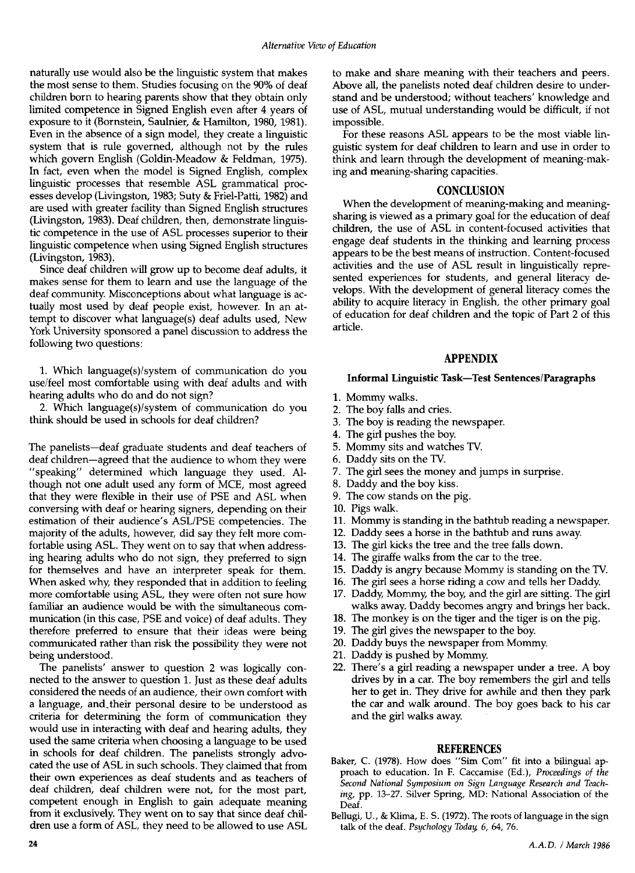naturally use would also be the linguistic system that makes the most sense to them. Studies focusing on the 90% of deaf children born to hearing parents show that they obtain only limited competence in Signed English even after 4 years of exposure to it (Bornstein, Saulnier, & Hamilton, 1980, 1981). Even in the absence of a sign model, they create a linguistic system that is rule governed, although not by the rules which govern English (Goldin-Meadow & Feldman, 1975). In fact, even when the model is Signed English, complex linguistic processes that resemble ASL grammatical processes develop (Livingston, 1983; Suty & Friel-Patti, 1982) and are used with greater facility than Signed English structures (Livingston, 1983). Deaf children, then, demonstrate linguistic competence in the use of ASL processes superior to their linguistic competence when using Signed English structures (Livingston, 1983).

Since deaf children will grow up to become deaf adults, it makes sense for them to learn and use the language of the deaf community. Misconceptions about what language is actually most used by deaf people exist, however. In an attempt to discover what language(s) deaf adults used, New York University sponsored a panel discussion to address the following two questions:

1. Which language(s)/system of communication do you use/feel most comfortable using with deaf adults and with hearing adults who do and do not sign?<br>2. Which language(s)/system of communication do you

think should be used in schools for deaf children?

The panelists—deaf graduate students and deaf teachers of deaf children—agreed that the audience to whom they were "speaking" determined which language they used. Although not one adult used any form of MCE, most agreed that they were flexible in their use of PSE and ASL when conversing with deaf or hearing signers, depending on their estimation of their audience's ASL/PSE competencies. The majority of the adults, however, did say they felt more comfortable using ASL. They went on to say that when addressing hearing adults who do not sign, they preferred to sign for themselves and have an interpreter speak for them. When asked why, they responded that in addition to feeling more comfortable using ASL, they were often not sure how familiar an audience would be with the simultaneous communication (in this case, PSE and voice) of deaf adults. They therefore preferred to ensure that their ideas were being communicated rather than risk the possibility they were not being understood.<br>The panelists' answer to question 2 was logically con-

nected to the answer to question 1. Just as these deaf adults considered the needs of an audience, their own comfort with a language, and.their personal desire to be understood as criteria for deterrnining the form of communication they would use in interacting with deaf and hearing adults, they used the same criteria when choosing a language to be used in schools for deaf children. The panelists strongly advocated the use of ASL in such schools. They claimed that from their own experiences as deaf students and as teachers of deaf children, deaf children were not, for the most part, competent enough in English to gain adequate meaning from it exclusively. They went on to say that since deaf children use a form of ASL, they need to be allowed to use ASL

to make and share meaning with their teachers and peers. Above all, the panelists noted deaf children desire to understand and be understood; without teachers' knowledge and use of ASL, mutual understanding would be difficult, if not impossible.

For these reasons ASL appears to be the most viable linguistic system for deaf children to learn and use in order to think and learn through the development of meaning-making and meaning-sharing capacities.

### **CONCLUSION**

When the development of meaning-making and meaningsharing is viewed as a primary goal for the education of deaf children, the use of ASL in content-focused activities that engage deaf students in the thinking and learning process appears to be the best means of instruction. Content-focused activities and the use of ASL result in linguistically represented experiences for students, and general literacy develops. With the development of general literacy comes the ability to acquire literacy in English, the other primary goal of education for deaf children and the topic of Part 2 of this article.

## APPENDIX

## Informal Linguistic Task—Test Sentences/Paragraphs

- 1. Mommy walks.
- 2. The boy falls and cries.
- 3. The boy is reading the newspaper.
- 4. The girl pushes the boy.
- 5. Mommy sits and watches TV.
- 6. Daddy sits on the TV.
- 7. The girl sees the money and jumps in surprise.
- 8. Daddy and the boy kiss.
- 9. The cow stands on the pig.
- 10. Pigs walk.
- 11. Mommy is standing in the bathtub reading a newspaper.
- 12. Daddy sees a horse in the bathtub and runs away.
- 13. The girl kicks the tree and the tree falls down.
- 14. The giraffe walks from the car to the tree.
- 15. Daddy is angry because Mommy is standing on the TV.
- 16. The girl sees a horse riding a cow and tells her Daddy.
- 17. Daddy, Mommy, the boy, and the girl are sitting. The girl walks away. Daddy becomes angry and brings her back.
- 18. The monkey is on the tiger and the tiger is on the pig.
- 19. The girl gives the newspaper to the boy.
- 20. Daddy buys the newspaper from Mommy.
- 21. Daddy is pushed by Mommy.
- 22. There's a girl reading a newspaper under a tree. A boy drives by in a car. The boy remembers the girl and tells her to get in. They drive for awhile and then they park the car and walk around. The boy goes back to his car and the girl walks away.

#### REFERENCES

- Baker, C. (1978). How does "Sim Com" fit into a bilingual approach to education. In F. Caccamise (Ed.), Proceedings of the Second National Symposium on Sign Language Research and Teaching, pp. 13-27. Silver Spring, MD: National Association of the Deaf.
- Bellugi, U., & Klima, E. S. (1972). The roots of language in the sign talk of the deaf. Psychology Today, 6, 64, 76.